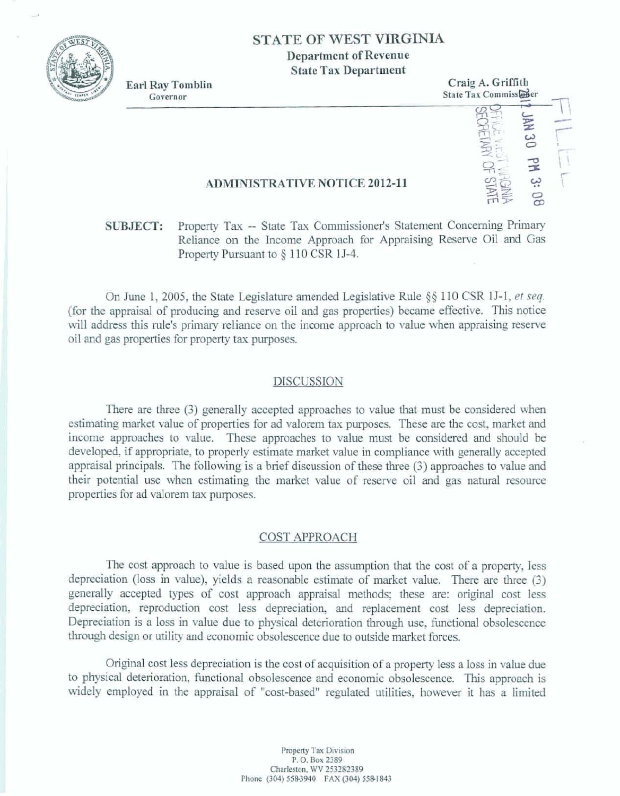

# **STATE OF WIEST VIRGINIA Department of Revenue State Tax Department**

Earl Ray Tomblin<br>Governor<br>Governor **Early Report of State Tax Commissed**  $State Tax$  **Commisseder** - *7*  **16 u rught**<br>16 u rught<br>16 u rught **3: 08**<br> **EXERN** 

## **ADMI[NISTRATWE NOTICE 2012-1 1**

# **SUBJECT:** Property Tax -- State Tax Commissioner's Statement Concerning Primary **Reliance on the Income Approach** for **Appraising** Reserve Oil and **Gas**  Property Pursuant to § 110 CSR 1J-4.

**On** June 1,2005, the **State Legislature amended Legislative** Rule **\$5 1 10 CSR 161, et seq. (for the appraisal of producing** and **reserve oil and** gas **properties) became effective.** This notice will address this rule's primary reliance on the income approach to value when appraising reserve oil and **gas properties** for **property tax purposes.** 

#### **DISCUSSION**

**There** are **three (3) generally accepted** approaches **to vdue that must be considered when edmihg market value of properties for** ad valorem **tax purposes. These are** the **cost, market and**  income **approaches to value. These approaches to** due must **be considered** and **should** be **developed, if appropriate, to properly estimate market value** in **compliance with generally accepted appraisal principals.** The following is a brief discussion of these three (3) approaches to value and their potential use when estimating **the market** value: of reserve oil **and gas** aatlrral resource **properties** for **ad** valorem **tax** purposes.

#### **COST APPROACH**

**The cost approach** to value **is hased upon the assumption that the cost of a property, less**  depreciation (loss in value), yields a reasonable estimate of market value. There are three (3) generally accepted types of cost approach appraisal methods; these are: original cost less **depreciation,** reproduction **cost** Iess depreciation, and replacement **cost** less **depreciation. Depreciation is a loss in vdue** due **to physical** deterioration *through* **use,** functional **obsolacence through design** or utility **and economic obsolescence due to outside market** farces.

**Original, cost less depreciation is** the **cost of** acquisition **of a property less a loss in value** due **to physical deterioration,** functional **obsolescence and economic obsolescence, This approach is widely employed in the appraisal of "cost-based" regulated** utilities, **however it has a** limited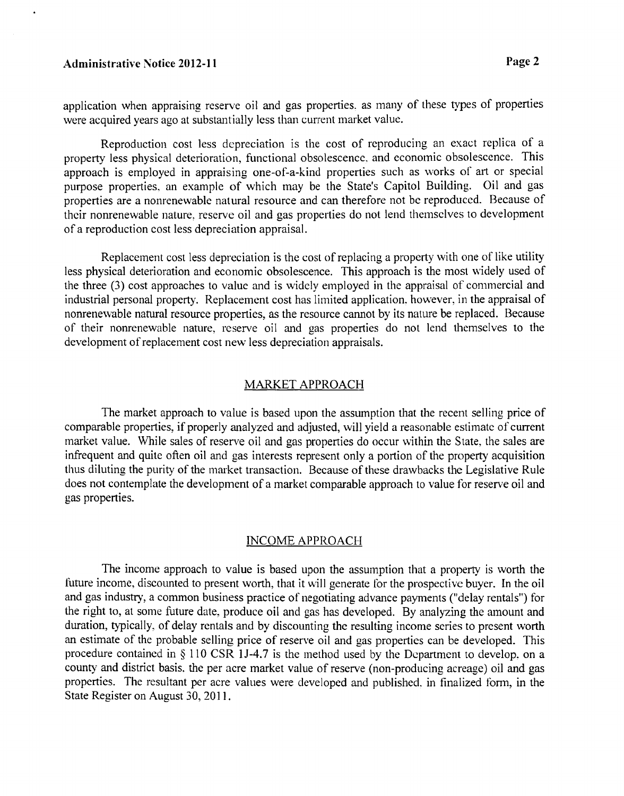# Administrative Notice **2012-1** 1 **Page 2**

application when appraising reserve oil and gas properties. as many of these types of properties were acquired years ago at substantially less than current market value.

Reproduction cost less depreciation is the cost of reproducing an exact replica of a property less physical deterioration, functional obsolescencc, and econornic obsolescence. This approach is employed in appraising one-of-a-kind properties such as works of art or special purpose properties, an example of which may be the State's Capitol Building. Oil and gas properties are a nonrenewable natural resource and can therefore not be reproduccd. Because of their nonrenewable nature, reserve oil and gas properties do not lend themselves to development of a reproduction cost less depreciation appraisal.

Replacement cost less depreciation is the cost of replacing a property with one of like utility less physical deterioration and economic obsolescence. This approach is the most widely used of the three (3) cost approaches to value and is widely employed in the appraisal of commercial and industrial personal property. Replacement cost has limited application, however, in the appraisal of nonrenewable natural resource properties, as the resource cannot by its natwe be replaced. Because of their nonrenewable nature. reserve oil and gas properties do not lend themselves to the development of replacement cost new less depreciation appraisals.

### MARKET APPROACH

The market approach to value is based upon the assumption that the recent selling price of comparable properties, if properly analyzed and adjusted, will yield a reasonable estimate of current market value. While sales of reserve oil and gas properties do occur within the State. the sales are infrequent and quite often oil and gas interests represent only a portion of the property acquisition thus diluting the purity of the market transaction. Because of these drawbacks the Legislative Rule does not contemplate the development of a market comparable approach to value for reserve oil and gas properties.

### INCOME APPROACH

The income approach to value is based upon the assumption that a property is worth the future income, discounted to present worth, that it will generate for the prospective buyer. In the oil and gas industry, a common business practice of negotiating advance payments ("delay rentals") for the right to, at some future date: produce oil and gas has developed. By analyzing the amount and duration, typically, of delay rentals and by discounting the resulting income series to present worth an estimate of the probable selling price of reserve oil and gas propertics can be developed. This procedure contained in  $\S$  110 CSR 1J-4.7 is the method used by the Department to develop, on a county and district basis. the per acre market value of reserve (non-producing acreage) oil and gas properties. The resultant per acre values were developed and published, in finalized form, in the State Register on August 30, 2011.